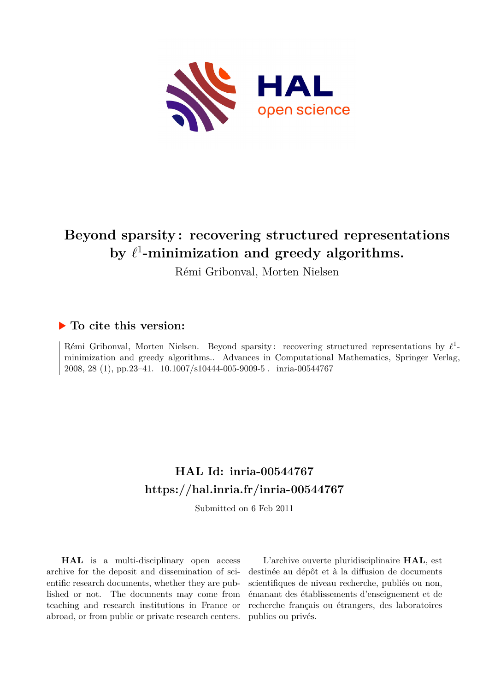

# **Beyond sparsity : recovering structured representations** by  $\ell^1$ -minimization and greedy algorithms.

Rémi Gribonval, Morten Nielsen

## **To cite this version:**

Rémi Gribonval, Morten Nielsen. Beyond sparsity: recovering structured representations by  $\ell^1$ minimization and greedy algorithms.. Advances in Computational Mathematics, Springer Verlag, 2008, 28 (1), pp.23-41.  $10.1007/s10444-005-9009-5$ . inria-00544767

## **HAL Id: inria-00544767 <https://hal.inria.fr/inria-00544767>**

Submitted on 6 Feb 2011

**HAL** is a multi-disciplinary open access archive for the deposit and dissemination of scientific research documents, whether they are published or not. The documents may come from teaching and research institutions in France or abroad, or from public or private research centers.

L'archive ouverte pluridisciplinaire **HAL**, est destinée au dépôt et à la diffusion de documents scientifiques de niveau recherche, publiés ou non, émanant des établissements d'enseignement et de recherche français ou étrangers, des laboratoires publics ou privés.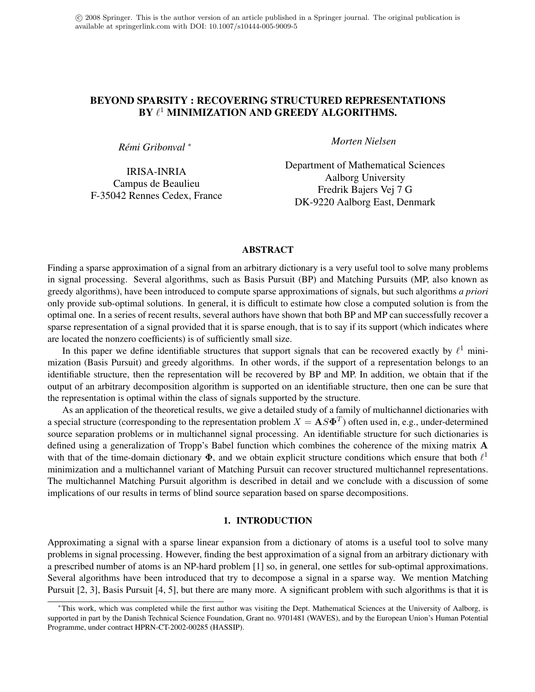## BEYOND SPARSITY : RECOVERING STRUCTURED REPRESENTATIONS BY  $\ell^1$  MINIMIZATION AND GREEDY ALGORITHMS.

*Remi Gribonval ´* ∗

IRISA-INRIA Campus de Beaulieu F-35042 Rennes Cedex, France *Morten Nielsen*

Department of Mathematical Sciences Aalborg University Fredrik Bajers Vej 7 G DK-9220 Aalborg East, Denmark

#### ABSTRACT

Finding a sparse approximation of a signal from an arbitrary dictionary is a very useful tool to solve many problems in signal processing. Several algorithms, such as Basis Pursuit (BP) and Matching Pursuits (MP, also known as greedy algorithms), have been introduced to compute sparse approximations of signals, but such algorithms *a priori* only provide sub-optimal solutions. In general, it is difficult to estimate how close a computed solution is from the optimal one. In a series of recent results, several authors have shown that both BP and MP can successfully recover a sparse representation of a signal provided that it is sparse enough, that is to say if its support (which indicates where are located the nonzero coefficients) is of sufficiently small size.

In this paper we define identifiable structures that support signals that can be recovered exactly by  $\ell^1$  minimization (Basis Pursuit) and greedy algorithms. In other words, if the support of a representation belongs to an identifiable structure, then the representation will be recovered by BP and MP. In addition, we obtain that if the output of an arbitrary decomposition algorithm is supported on an identifiable structure, then one can be sure that the representation is optimal within the class of signals supported by the structure.

As an application of the theoretical results, we give a detailed study of a family of multichannel dictionaries with a special structure (corresponding to the representation problem  $X = \mathbf{A} S \mathbf{\Phi}^T$ ) often used in, e.g., under-determined source separation problems or in multichannel signal processing. An identifiable structure for such dictionaries is defined using a generalization of Tropp's Babel function which combines the coherence of the mixing matrix A with that of the time-domain dictionary  $\Phi$ , and we obtain explicit structure conditions which ensure that both  $\ell^1$ minimization and a multichannel variant of Matching Pursuit can recover structured multichannel representations. The multichannel Matching Pursuit algorithm is described in detail and we conclude with a discussion of some implications of our results in terms of blind source separation based on sparse decompositions.

#### 1. INTRODUCTION

Approximating a signal with a sparse linear expansion from a dictionary of atoms is a useful tool to solve many problems in signal processing. However, finding the best approximation of a signal from an arbitrary dictionary with a prescribed number of atoms is an NP-hard problem [1] so, in general, one settles for sub-optimal approximations. Several algorithms have been introduced that try to decompose a signal in a sparse way. We mention Matching Pursuit [2, 3], Basis Pursuit [4, 5], but there are many more. A significant problem with such algorithms is that it is

<sup>∗</sup>This work, which was completed while the first author was visiting the Dept. Mathematical Sciences at the University of Aalborg, is supported in part by the Danish Technical Science Foundation, Grant no. 9701481 (WAVES), and by the European Union's Human Potential Programme, under contract HPRN-CT-2002-00285 (HASSIP).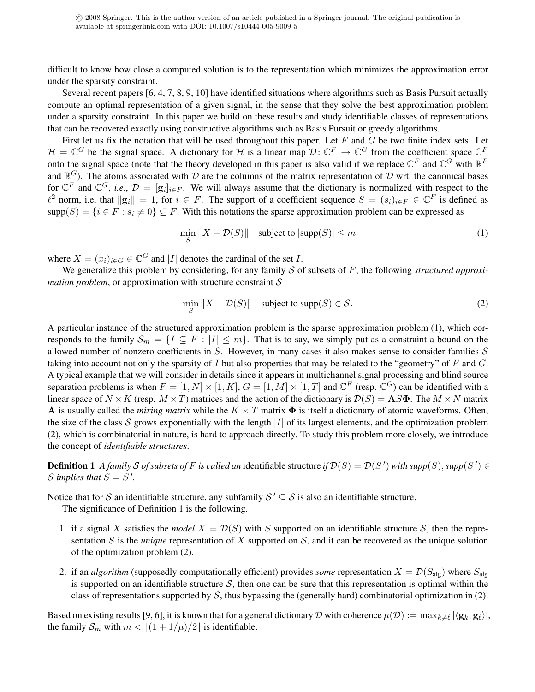difficult to know how close a computed solution is to the representation which minimizes the approximation error under the sparsity constraint.

Several recent papers [6, 4, 7, 8, 9, 10] have identified situations where algorithms such as Basis Pursuit actually compute an optimal representation of a given signal, in the sense that they solve the best approximation problem under a sparsity constraint. In this paper we build on these results and study identifiable classes of representations that can be recovered exactly using constructive algorithms such as Basis Pursuit or greedy algorithms.

First let us fix the notation that will be used throughout this paper. Let  $F$  and  $G$  be two finite index sets. Let  $\mathcal{H} = \mathbb{C}^G$  be the signal space. A dictionary for H is a linear map  $\mathcal{D}: \mathbb{C}^F \to \mathbb{C}^G$  from the coefficient space  $\mathbb{C}^F$ onto the signal space (note that the theory developed in this paper is also valid if we replace  $\mathbb{C}^F$  and  $\mathbb{C}^G$  with  $\mathbb{R}^F$ and  $\mathbb{R}^G$ ). The atoms associated with D are the columns of the matrix representation of D wrt. the canonical bases for  $\mathbb{C}^F$  and  $\mathbb{C}^G$ , *i.e.*,  $\mathcal{D} = [\mathbf{g}_i]_{i \in F}$ . We will always assume that the dictionary is normalized with respect to the  $\ell^2$  norm, i.e, that  $\|\mathbf{g}_i\| = 1$ , for  $i \in F$ . The support of a coefficient sequence  $S = (s_i)_{i \in F} \in \mathbb{C}^F$  is defined as  $supp(S) = \{i \in F : s_i \neq 0\} \subseteq F$ . With this notations the sparse approximation problem can be expressed as

$$
\min_{S} \|X - \mathcal{D}(S)\| \quad \text{subject to } |\text{supp}(S)| \le m \tag{1}
$$

where  $X = (x_i)_{i \in G} \in \mathbb{C}^G$  and |*I*| denotes the cardinal of the set *I*.

We generalize this problem by considering, for any family S of subsets of F, the following *structured approximation problem*, or approximation with structure constraint  $S$ 

$$
\min_{S} \|X - \mathcal{D}(S)\| \quad \text{subject to } \text{supp}(S) \in \mathcal{S}.
$$

A particular instance of the structured approximation problem is the sparse approximation problem (1), which corresponds to the family  $S_m = \{I \subseteq F : |I| \le m\}$ . That is to say, we simply put as a constraint a bound on the allowed number of nonzero coefficients in  $S$ . However, in many cases it also makes sense to consider families  $S$ taking into account not only the sparsity of I but also properties that may be related to the "geometry" of  $F$  and  $G$ . A typical example that we will consider in details since it appears in multichannel signal processing and blind source separation problems is when  $F = [1, N] \times [1, K]$ ,  $G = [1, M] \times [1, T]$  and  $\mathbb{C}^F$  (resp.  $\mathbb{C}^G$ ) can be identified with a linear space of  $N \times K$  (resp.  $M \times T$ ) matrices and the action of the dictionary is  $\mathcal{D}(S) = AS\Phi$ . The  $M \times N$  matrix **A** is usually called the *mixing matrix* while the  $K \times T$  matrix  $\Phi$  is itself a dictionary of atomic waveforms. Often, the size of the class S grows exponentially with the length  $|I|$  of its largest elements, and the optimization problem (2), which is combinatorial in nature, is hard to approach directly. To study this problem more closely, we introduce the concept of *identifiable structures*.

**Definition 1** A family S of subsets of F is called an identifiable structure if  $\mathcal{D}(S) = \mathcal{D}(S')$  with supp $(S)$ , supp $(S') \in$ *S* implies that  $S = S'$ .

Notice that for S an identifiable structure, any subfamily  $S' \subseteq S$  is also an identifiable structure.

The significance of Definition 1 is the following.

- 1. if a signal X satisfies the *model*  $X = \mathcal{D}(S)$  with S supported on an identifiable structure S, then the representation S is the *unique* representation of X supported on S, and it can be recovered as the unique solution of the optimization problem (2).
- 2. if an *algorithm* (supposedly computationally efficient) provides *some* representation  $X = \mathcal{D}(S_{\text{alg}})$  where  $S_{\text{alg}}$ is supported on an identifiable structure S, then one can be sure that this representation is optimal within the class of representations supported by  $S$ , thus bypassing the (generally hard) combinatorial optimization in (2).

Based on existing results [9, 6], it is known that for a general dictionary  $\cal D$  with coherence  $\mu(D):=\max_{k\neq\ell}|\langle\mathbf{g}_k,\mathbf{g}_\ell\rangle|$ , the family  $S_m$  with  $m < \lfloor (1 + 1/\mu)/2 \rfloor$  is identifiable.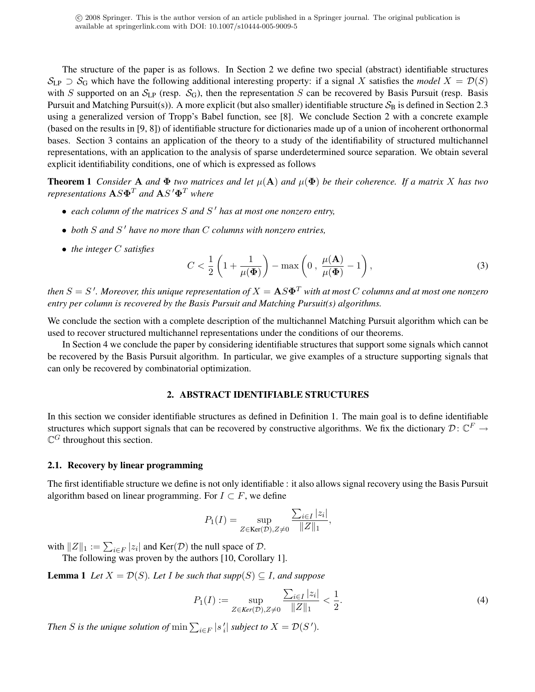The structure of the paper is as follows. In Section 2 we define two special (abstract) identifiable structures  $S_{LP} \supset S_G$  which have the following additional interesting property: if a signal X satisfies the *model*  $X = \mathcal{D}(S)$ with S supported on an  $S_{LP}$  (resp.  $S_G$ ), then the representation S can be recovered by Basis Pursuit (resp. Basis Pursuit and Matching Pursuit(s)). A more explicit (but also smaller) identifiable structure  $S_B$  is defined in Section 2.3 using a generalized version of Tropp's Babel function, see [8]. We conclude Section 2 with a concrete example (based on the results in [9, 8]) of identifiable structure for dictionaries made up of a union of incoherent orthonormal bases. Section 3 contains an application of the theory to a study of the identifiability of structured multichannel representations, with an application to the analysis of sparse underdetermined source separation. We obtain several explicit identifiability conditions, one of which is expressed as follows

**Theorem 1** *Consider* A *and*  $\Phi$  *two matrices and let*  $\mu(A)$  *and*  $\mu(\Phi)$  *be their coherence. If a matrix* X *has two representations*  $\mathbf{A} S \mathbf{\Phi}^T$  *and*  $\mathbf{A} S' \mathbf{\Phi}^T$  *where* 

- *each column of the matrices* S *and* S <sup>0</sup> *has at most one nonzero entry,*
- *both* S *and* S <sup>0</sup> *have no more than* C *columns with nonzero entries,*
- *the integer* C *satisfies*

$$
C < \frac{1}{2} \left( 1 + \frac{1}{\mu(\Phi)} \right) - \max \left( 0 \,, \, \frac{\mu(\mathbf{A})}{\mu(\Phi)} - 1 \right),\tag{3}
$$

then  $S=S$   $\cdot$  . Moreover, this unique representation of  $X={\bf A}S{\bf\Phi}^T$  with at most  $C$  columns and at most one nonzero *entry per column is recovered by the Basis Pursuit and Matching Pursuit(s) algorithms.*

We conclude the section with a complete description of the multichannel Matching Pursuit algorithm which can be used to recover structured multichannel representations under the conditions of our theorems.

In Section 4 we conclude the paper by considering identifiable structures that support some signals which cannot be recovered by the Basis Pursuit algorithm. In particular, we give examples of a structure supporting signals that can only be recovered by combinatorial optimization.

#### 2. ABSTRACT IDENTIFIABLE STRUCTURES

In this section we consider identifiable structures as defined in Definition 1. The main goal is to define identifiable structures which support signals that can be recovered by constructive algorithms. We fix the dictionary  $\mathcal{D}$ :  $\mathbb{C}^F \to$  $\mathbb{C}$ <sup>G</sup> throughout this section.

#### 2.1. Recovery by linear programming

The first identifiable structure we define is not only identifiable : it also allows signal recovery using the Basis Pursuit algorithm based on linear programming. For  $I \subset F$ , we define

$$
P_1(I) = \sup_{Z \in \text{Ker}(\mathcal{D}), Z \neq 0} \frac{\sum_{i \in I} |z_i|}{\|Z\|_1},
$$

with  $||Z||_1 := \sum_{i \in F} |z_i|$  and  $\text{Ker}(\mathcal{D})$  the null space of  $\mathcal{D}$ .

The following was proven by the authors [10, Corollary 1].

**Lemma 1** *Let*  $X = \mathcal{D}(S)$ *. Let I be such that supp* $(S) \subseteq I$ *, and suppose* 

$$
P_1(I) := \sup_{Z \in \text{Ker}(\mathcal{D}), Z \neq 0} \frac{\sum_{i \in I} |z_i|}{\|Z\|_1} < \frac{1}{2}.\tag{4}
$$

*Then S* is the unique solution of  $\min \sum_{i \in F} |s'_i|$  subject to  $X = \mathcal{D}(S')$ .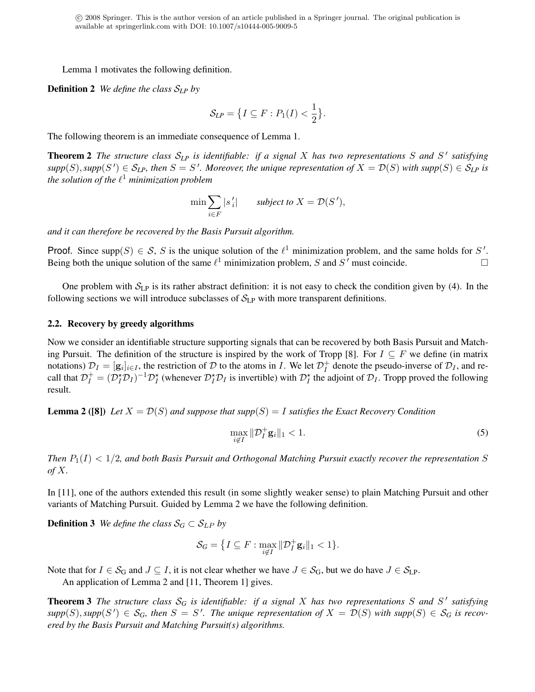Lemma 1 motivates the following definition.

Definition 2 *We define the class* S*LP by*

$$
\mathcal{S}_{\!LP} = \left\{ I \subseteq F : P_1(I) < \frac{1}{2} \right\}.
$$

The following theorem is an immediate consequence of Lemma 1.

Theorem 2 *The structure class* S*LP is identifiable: if a signal* X *has two representations* S *and* S 0 *satisfying*  $supp(S)$ ,  $supp(S') \in S_{LP}$ , then  $S = S'$ . Moreover, the unique representation of  $X = \mathcal{D}(S)$  with  $supp(S) \in S_{LP}$  is the solution of the  $\ell^1$  minimization problem

$$
\min \sum_{i \in F} |s'_i| \qquad \text{subject to } X = \mathcal{D}(S'),
$$

*and it can therefore be recovered by the Basis Pursuit algorithm.*

Proof. Since supp $(S) \in S$ , S is the unique solution of the  $\ell^1$  minimization problem, and the same holds for S'. Being both the unique solution of the same  $\ell^1$  minimization problem, S and S' must coincide.

One problem with  $S_{LP}$  is its rather abstract definition: it is not easy to check the condition given by (4). In the following sections we will introduce subclasses of  $S_{LP}$  with more transparent definitions.

#### 2.2. Recovery by greedy algorithms

Now we consider an identifiable structure supporting signals that can be recovered by both Basis Pursuit and Matching Pursuit. The definition of the structure is inspired by the work of Tropp [8]. For  $I \subseteq F$  we define (in matrix notations)  $\mathcal{D}_I = [\mathbf{g}_i]_{i \in I}$ , the restriction of  $\mathcal D$  to the atoms in  $I$ . We let  $\mathcal{D}_I^+$  $I_I^+$  denote the pseudo-inverse of  $\mathcal{D}_I$ , and recall that  $\mathcal{D}_I^+ = (\mathcal{D}_I^* \mathcal{D}_I)^{-1} \mathcal{D}_I^*$  (whenever  $\mathcal{D}_I^* \mathcal{D}_I$  is invertible) with  $\mathcal{D}_I^*$  the adjoint of  $\mathcal{D}_I$ . Tropp proved the following result.

**Lemma 2 ([8])** Let  $X = \mathcal{D}(S)$  and suppose that supp $(S) = I$  satisfies the Exact Recovery Condition

$$
\max_{i \notin I} \|\mathcal{D}_I^+ \mathbf{g}_i\|_1 < 1. \tag{5}
$$

*Then*  $P_1(I) < 1/2$ , and both Basis Pursuit and Orthogonal Matching Pursuit exactly recover the representation S *of* X*.*

In [11], one of the authors extended this result (in some slightly weaker sense) to plain Matching Pursuit and other variants of Matching Pursuit. Guided by Lemma 2 we have the following definition.

**Definition 3** *We define the class*  $S_G \subset S_{LP}$  *by* 

$$
\mathcal{S}_G = \big\{ I \subseteq F : \max_{i \notin I} \|\mathcal{D}_I^+ \mathbf{g}_i\|_1 < 1 \big\}.
$$

Note that for  $I \in S_G$  and  $J \subseteq I$ , it is not clear whether we have  $J \in S_G$ , but we do have  $J \in S_{LP}$ .

An application of Lemma 2 and [11, Theorem 1] gives.

**Theorem 3** The structure class  $S_G$  is identifiable: if a signal X has two representations S and S' satisfying  $supp(S)$ ,  $supp(S') \in S_G$ , then  $S = S'$ . The unique representation of  $X = \mathcal{D}(S)$  with  $supp(S) \in S_G$  is recov*ered by the Basis Pursuit and Matching Pursuit(s) algorithms.*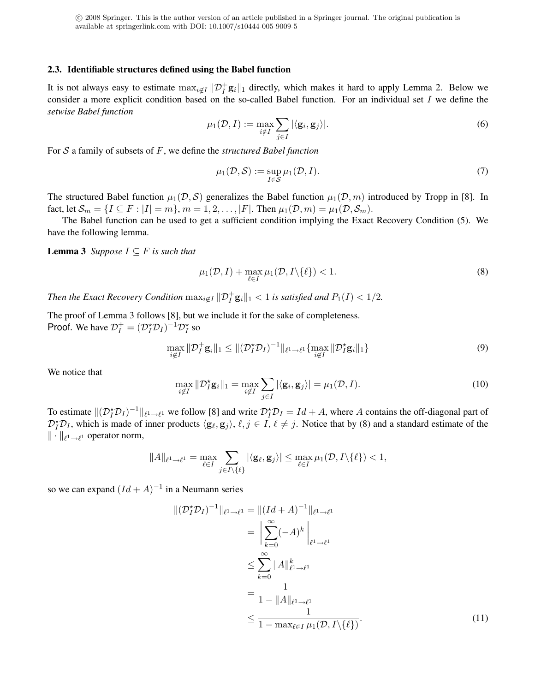#### 2.3. Identifiable structures defined using the Babel function

It is not always easy to estimate  $\max_{i \notin I} ||\mathcal{D}_I^+ \mathbf{g}_i||_1$  directly, which makes it hard to apply Lemma 2. Below we consider a more explicit condition based on the so-called Babel function. For an individual set I we define the *setwise Babel function*

$$
\mu_1(\mathcal{D}, I) := \max_{i \notin I} \sum_{j \in I} |\langle \mathbf{g}_i, \mathbf{g}_j \rangle|.
$$
 (6)

For S a family of subsets of F, we define the *structured Babel function*

$$
\mu_1(\mathcal{D}, \mathcal{S}) := \sup_{I \in \mathcal{S}} \mu_1(\mathcal{D}, I). \tag{7}
$$

The structured Babel function  $\mu_1(\mathcal{D}, \mathcal{S})$  generalizes the Babel function  $\mu_1(\mathcal{D}, m)$  introduced by Tropp in [8]. In fact, let  $\mathcal{S}_m = \{I \subseteq F : |I| = m\}$ ,  $m = 1, 2, \ldots, |F|$ . Then  $\mu_1(\mathcal{D}, m) = \mu_1(\mathcal{D}, \mathcal{S}_m)$ .

The Babel function can be used to get a sufficient condition implying the Exact Recovery Condition (5). We have the following lemma.

**Lemma 3** *Suppose*  $I \subseteq F$  *is such that* 

$$
\mu_1(\mathcal{D}, I) + \max_{\ell \in I} \mu_1(\mathcal{D}, I \setminus \{\ell\}) < 1. \tag{8}
$$

*Then the Exact Recovery Condition*  $\max_{i \notin I} \|\mathcal{D}_I^+\mathbf{g}_i\|_1 < 1$  is satisfied and  $P_1(I) < 1/2$ .

The proof of Lemma 3 follows [8], but we include it for the sake of completeness. **Proof.** We have  $\mathcal{D}_I^+ = (\mathcal{D}_I^* \mathcal{D}_I)^{-1} \mathcal{D}_I^*$  so

$$
\max_{i \notin I} \|\mathcal{D}_I^+\mathbf{g}_i\|_1 \le \|(\mathcal{D}_I^*\mathcal{D}_I)^{-1}\|_{\ell^1 \to \ell^1} \{\max_{i \notin I} \|\mathcal{D}_I^*\mathbf{g}_i\|_1\}
$$
\n
$$
(9)
$$

We notice that

$$
\max_{i \notin I} \|\mathcal{D}_I^* \mathbf{g}_i\|_1 = \max_{i \notin I} \sum_{j \in I} |\langle \mathbf{g}_i, \mathbf{g}_j \rangle| = \mu_1(\mathcal{D}, I). \tag{10}
$$

To estimate  $\|(\mathcal{D}_I^{\star}\mathcal{D}_I)^{-1}\|_{\ell^1\to\ell^1}$  we follow [8] and write  $\mathcal{D}_I^{\star}\mathcal{D}_I = Id + A$ , where A contains the off-diagonal part of  $\mathcal{D}_I^* \mathcal{D}_I$ , which is made of inner products  $\langle \mathbf{g}_\ell, \mathbf{g}_j \rangle$ ,  $\ell, j \in I$ ,  $\ell \neq j$ . Notice that by (8) and a standard estimate of the  $\|\cdot\|_{\ell^1\to\ell^1}$  operator norm,

$$
||A||_{\ell^1 \to \ell^1} = \max_{\ell \in I} \sum_{j \in I \setminus \{\ell\}} |\langle \mathbf{g}_{\ell}, \mathbf{g}_j \rangle| \le \max_{\ell \in I} \mu_1(\mathcal{D}, I \setminus \{\ell\}) < 1,
$$

so we can expand  $(Id + A)^{-1}$  in a Neumann series

$$
\begin{aligned} \|(\mathcal{D}_I^* \mathcal{D}_I)^{-1} \|_{\ell^1 \to \ell^1} &= \| (Id + A)^{-1} \|_{\ell^1 \to \ell^1} \\ &= \left\| \sum_{k=0}^\infty (-A)^k \right\|_{\ell^1 \to \ell^1} \\ &\le \sum_{k=0}^\infty \|A\|_{\ell^1 \to \ell^1}^k \\ &= \frac{1}{1 - \|A\|_{\ell^1 \to \ell^1}} \\ &\le \frac{1}{1 - \max_{\ell \in I} \mu_1(\mathcal{D}, I \setminus \{\ell\})}. \end{aligned} \tag{11}
$$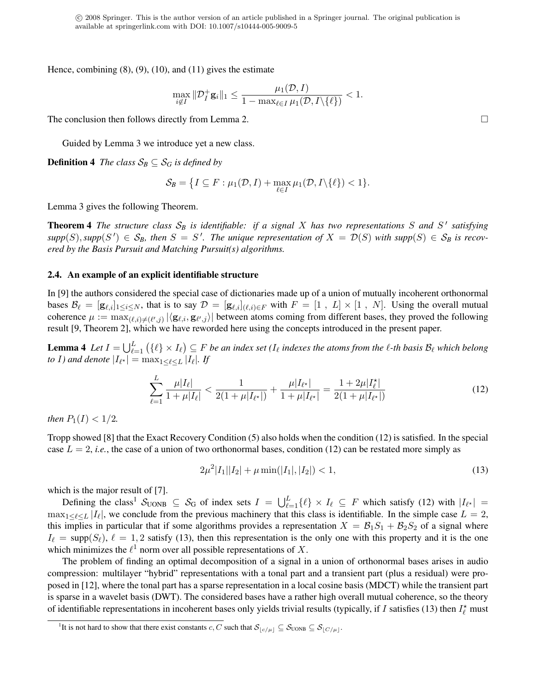Hence, combining  $(8)$ ,  $(9)$ ,  $(10)$ , and  $(11)$  gives the estimate

$$
\max_{i \notin I} \|\mathcal{D}_{I}^{+} \mathbf{g}_{i}\|_{1} \leq \frac{\mu_{1}(\mathcal{D}, I)}{1 - \max_{\ell \in I} \mu_{1}(\mathcal{D}, I \setminus \{\ell\})} < 1.
$$

The conclusion then follows directly from Lemma 2.  $\Box$ 

Guided by Lemma 3 we introduce yet a new class.

**Definition 4** *The class*  $S_B \subseteq S_G$  *is defined by* 

$$
\mathcal{S}_B = \big\{ I \subseteq F : \mu_1(\mathcal{D}, I) + \max_{\ell \in I} \mu_1(\mathcal{D}, I \setminus \{\ell\}) < 1 \big\}.
$$

Lemma 3 gives the following Theorem.

**Theorem 4** The structure class  $S_B$  is identifiable: if a signal X has two representations S and S' satisfying  $supp(S)$ ,  $supp(S') \in S_B$ , then  $S = S'$ . The unique representation of  $X = \mathcal{D}(S)$  with  $supp(S) \in S_B$  is recov*ered by the Basis Pursuit and Matching Pursuit(s) algorithms.*

#### 2.4. An example of an explicit identifiable structure

In [9] the authors considered the special case of dictionaries made up of a union of mutually incoherent orthonormal bases  $\mathcal{B}_\ell = [\mathbf{g}_{\ell,i}]_{1\leq i\leq N}$ , that is to say  $\mathcal{D} = [\mathbf{g}_{\ell,i}]_{(\ell,i)\in F}$  with  $F = [1, L] \times [1, N]$ . Using the overall mutual coherence  $\mu := \max_{(\ell,i)\neq (\ell',j)} |\langle \mathbf{g}_{\ell,i}, \mathbf{g}_{\ell',j}\rangle|$  between atoms coming from different bases, they proved the following result [9, Theorem 2], which we have reworded here using the concepts introduced in the present paper.

**Lemma 4** Let  $I = \bigcup_{\ell=1}^L (\{\ell\} \times I_\ell) \subseteq F$  be an index set ( $I_\ell$  indexes the atoms from the  $\ell$ -th basis  $\mathcal{B}_\ell$  which belong *to* I) and denote  $|I_{\ell^{\star}}| = \max_{1 \leq \ell \leq L} |I_{\ell}|$ . If

$$
\sum_{\ell=1}^{L} \frac{\mu|I_{\ell}|}{1 + \mu|I_{\ell}|} < \frac{1}{2(1 + \mu|I_{\ell^*}|)} + \frac{\mu|I_{\ell^*}|}{1 + \mu|I_{\ell^*}|} = \frac{1 + 2\mu|I_{\ell}^*|}{2(1 + \mu|I_{\ell^*}|)}\tag{12}
$$

*then*  $P_1(I) < 1/2$ *.* 

Tropp showed [8] that the Exact Recovery Condition (5) also holds when the condition (12) is satisfied. In the special case  $L = 2$ , *i.e.*, the case of a union of two orthonormal bases, condition (12) can be restated more simply as

$$
2\mu^2|I_1||I_2| + \mu \min(|I_1|, |I_2|) < 1,\tag{13}
$$

which is the major result of [7].

Defining the class<sup>1</sup>  $S_{\text{UONB}} \subseteq S_G$  of index sets  $I = \bigcup_{\ell=1}^L \{\ell\} \times I_\ell \subseteq F$  which satisfy (12) with  $|I_{\ell^*}| =$  $\max_{1 \leq \ell \leq L} |I_{\ell}|$ , we conclude from the previous machinery that this class is identifiable. In the simple case  $L = 2$ , this implies in particular that if some algorithms provides a representation  $X = \mathcal{B}_1S_1 + \mathcal{B}_2S_2$  of a signal where  $I_\ell = \text{supp}(S_\ell), \ell = 1, 2$  satisfy (13), then this representation is the only one with this property and it is the one which minimizes the  $\ell^1$  norm over all possible representations of X.

The problem of finding an optimal decomposition of a signal in a union of orthonormal bases arises in audio compression: multilayer "hybrid" representations with a tonal part and a transient part (plus a residual) were proposed in [12], where the tonal part has a sparse representation in a local cosine basis (MDCT) while the transient part is sparse in a wavelet basis (DWT). The considered bases have a rather high overall mutual coherence, so the theory of identifiable representations in incoherent bases only yields trivial results (typically, if I satisfies (13) then  $I_\ell^*$  must

<sup>&</sup>lt;sup>1</sup>It is not hard to show that there exist constants c, C such that  $\mathcal{S}_{c/\mu} \subseteq \mathcal{S}_{\text{UONB}} \subseteq \mathcal{S}_{c/\mu}$ .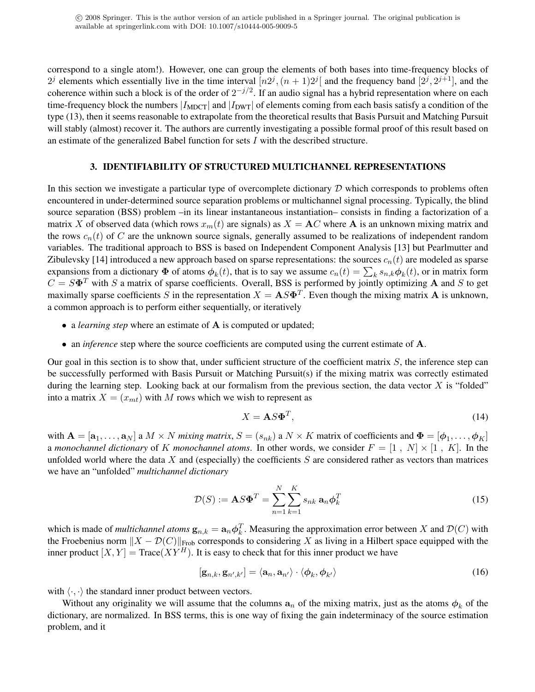correspond to a single atom!). However, one can group the elements of both bases into time-frequency blocks of  $2^j$  elements which essentially live in the time interval  $[n2^j, (n+1)2^j]$  and the frequency band  $[2^j, 2^{j+1}]$ , and the coherence within such a block is of the order of  $2^{-j/2}$ . If an audio signal has a hybrid representation where on each time-frequency block the numbers  $|I_{\text{MDCT}}|$  and  $|I_{\text{DWT}}|$  of elements coming from each basis satisfy a condition of the type (13), then it seems reasonable to extrapolate from the theoretical results that Basis Pursuit and Matching Pursuit will stably (almost) recover it. The authors are currently investigating a possible formal proof of this result based on an estimate of the generalized Babel function for sets  $I$  with the described structure.

#### 3. IDENTIFIABILITY OF STRUCTURED MULTICHANNEL REPRESENTATIONS

In this section we investigate a particular type of overcomplete dictionary  $D$  which corresponds to problems often encountered in under-determined source separation problems or multichannel signal processing. Typically, the blind source separation (BSS) problem –in its linear instantaneous instantiation– consists in finding a factorization of a matrix X of observed data (which rows  $x_m(t)$  are signals) as  $X = AC$  where A is an unknown mixing matrix and the rows  $c_n(t)$  of C are the unknown source signals, generally assumed to be realizations of independent random variables. The traditional approach to BSS is based on Independent Component Analysis [13] but Pearlmutter and Zibulevsky [14] introduced a new approach based on sparse representations: the sources  $c_n(t)$  are modeled as sparse expansions from a dictionary  $\Phi$  of atoms  $\phi_k(t)$ , that is to say we assume  $c_n(t) = \sum_k s_{n,k} \phi_k(t)$ , or in matrix form  $C = S\Phi^T$  with S a matrix of sparse coefficients. Overall, BSS is performed by jointly optimizing A and S to get maximally sparse coefficients S in the representation  $X = \mathbf{A} S \mathbf{\Phi}^T$ . Even though the mixing matrix  $\mathbf{A}$  is unknown, a common approach is to perform either sequentially, or iteratively

- a *learning step* where an estimate of **A** is computed or updated;
- an *inference* step where the source coefficients are computed using the current estimate of **A**.

Our goal in this section is to show that, under sufficient structure of the coefficient matrix  $S$ , the inference step can be successfully performed with Basis Pursuit or Matching Pursuit(s) if the mixing matrix was correctly estimated during the learning step. Looking back at our formalism from the previous section, the data vector  $X$  is "folded" into a matrix  $X = (x_{mt})$  with M rows which we wish to represent as

$$
X = \mathbf{A} S \mathbf{\Phi}^T,\tag{14}
$$

with  $\mathbf{A} = [\mathbf{a}_1,\ldots,\mathbf{a}_N]$  a  $M \times N$  *mixing matrix*,  $S = (s_{nk})$  a  $N \times K$  matrix of coefficients and  $\mathbf{\Phi} = [\phi_1,\ldots,\phi_K]$ a *monochannel dictionary* of K *monochannel atoms*. In other words, we consider  $F = \begin{bmatrix} 1 \\ N \end{bmatrix} \times \begin{bmatrix} 1 \\ K \end{bmatrix}$ . In the unfolded world where the data  $X$  and (especially) the coefficients  $S$  are considered rather as vectors than matrices we have an "unfolded" *multichannel dictionary*

$$
\mathcal{D}(S) := \mathbf{A} S \mathbf{\Phi}^T = \sum_{n=1}^{N} \sum_{k=1}^{K} s_{nk} \mathbf{a}_n \boldsymbol{\phi}_k^T
$$
\n(15)

which is made of *multichannel atoms*  $\mathbf{g}_{n,k} = \mathbf{a}_n \phi_k^T$ . Measuring the approximation error between X and  $\mathcal{D}(C)$  with the Froebenius norm  $||X - \mathcal{D}(C)||_{Frob}$  corresponds to considering X as living in a Hilbert space equipped with the inner product  $[X, Y] = Trace(XY^H)$ . It is easy to check that for this inner product we have

$$
[\mathbf{g}_{n,k}, \mathbf{g}_{n',k'}] = \langle \mathbf{a}_n, \mathbf{a}_{n'} \rangle \cdot \langle \boldsymbol{\phi}_k, \boldsymbol{\phi}_{k'} \rangle \tag{16}
$$

with  $\langle \cdot, \cdot \rangle$  the standard inner product between vectors.

Without any originality we will assume that the columns  $a_n$  of the mixing matrix, just as the atoms  $\phi_k$  of the dictionary, are normalized. In BSS terms, this is one way of fixing the gain indeterminacy of the source estimation problem, and it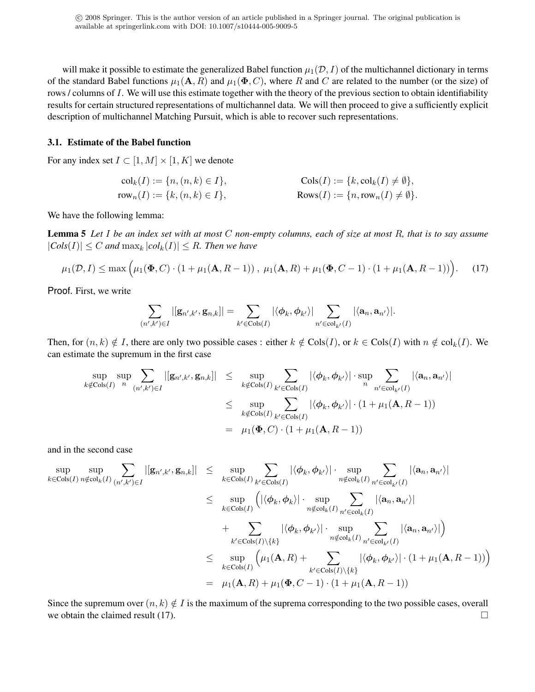will make it possible to estimate the generalized Babel function  $\mu_1(\mathcal{D}, I)$  of the multichannel dictionary in terms of the standard Babel functions  $\mu_1(A, R)$  and  $\mu_1(\Phi, C)$ , where R and C are related to the number (or the size) of rows / columns of I. We will use this estimate together with the theory of the previous section to obtain identifiability results for certain structured representations of multichannel data. We will then proceed to give a sufficiently explicit description of multichannel Matching Pursuit, which is able to recover such representations.

#### 3.1. Estimate of the Babel function

For any index set  $I \subset [1, M] \times [1, K]$  we denote

$$
colk(I) := {n, (n, k) ∈ I},
$$
  
\n
$$
colk(I) := {k, colk(I) ≠ ∅},
$$
  
\n
$$
rown(I) := {k, (n, k) ∈ I},
$$
  
\n
$$
Rown(I) ≠ ∅}.
$$

We have the following lemma:

Lemma 5 *Let* I *be an index set with at most* C *non-empty columns, each of size at most* R*, that is to say assume*  $|Cols(I)| \leq C$  *and*  $\max_k |col_k(I)| \leq R$ *. Then we have* 

$$
\mu_1(\mathcal{D}, I) \le \max\Big(\mu_1(\mathbf{\Phi}, C) \cdot (1 + \mu_1(\mathbf{A}, R - 1)), \ \mu_1(\mathbf{A}, R) + \mu_1(\mathbf{\Phi}, C - 1) \cdot (1 + \mu_1(\mathbf{A}, R - 1))\Big). \tag{17}
$$

Proof. First, we write

$$
\sum_{(n',k')\in I} |[{\bf g}_{n',k'},{\bf g}_{n,k}]| = \sum_{k'\in {\rm Cols}(I)} |\langle \phi_k,\phi_{k'}\rangle| \sum_{n'\in {\rm col}_{k'}(I)} |\langle {\bf a}_n,{\bf a}_{n'}\rangle|.
$$

Then, for  $(n, k) \notin I$ , there are only two possible cases : either  $k \notin \text{Cols}(I)$ , or  $k \in \text{Cols}(I)$  with  $n \notin \text{col}_k(I)$ . We can estimate the supremum in the first case

$$
\sup_{k \notin \text{Cols}(I)} \sup_n \sum_{(n',k') \in I} |[g_{n',k'}, g_{n,k}]| \leq \sup_{k \notin \text{Cols}(I)} \sum_{k' \in \text{Cols}(I)} |\langle \phi_k, \phi_{k'} \rangle| \cdot \sup_n \sum_{n' \in \text{col}_{k'}(I)} |\langle \mathbf{a}_n, \mathbf{a}_{n'} \rangle|
$$
  
\n
$$
\leq \sup_{k \notin \text{Cols}(I)} \sum_{k' \in \text{Cols}(I)} |\langle \phi_k, \phi_{k'} \rangle| \cdot (1 + \mu_1(\mathbf{A}, R - 1))
$$
  
\n
$$
= \mu_1(\mathbf{\Phi}, C) \cdot (1 + \mu_1(\mathbf{A}, R - 1))
$$

and in the second case

$$
\sup_{k \in \text{Cols}(I)} \sup_{n \notin \text{col}_{k}(I)} \sum_{(n',k') \in I} |[g_{n',k'}, g_{n,k}]| \leq \sup_{k \in \text{Cols}(I)} \sum_{k' \in \text{Cols}(I)} |\langle \phi_{k}, \phi_{k'} \rangle| \cdot \sup_{n \notin \text{col}_{k}(I)} \sum_{n' \in \text{col}_{k'}(I)} |\langle a_{n}, a_{n'} \rangle|
$$
  
\n
$$
\leq \sup_{k \in \text{Cols}(I)} \left( |\langle \phi_{k}, \phi_{k} \rangle| \cdot \sup_{n \notin \text{col}_{k}(I)} \sum_{n' \in \text{col}_{k}(I)} |\langle a_{n}, a_{n'} \rangle| + \sum_{k' \in \text{Cols}(I) \setminus \{k\}} |\langle \phi_{k}, \phi_{k'} \rangle| \cdot \sup_{n \notin \text{col}_{k}(I)} \sum_{n' \in \text{col}_{k'}(I)} |\langle a_{n}, a_{n'} \rangle| \right)
$$
  
\n
$$
\leq \sup_{k \in \text{Cols}(I)} \left( \mu_{1}(\mathbf{A}, R) + \sum_{k' \in \text{Cols}(I) \setminus \{k\}} |\langle \phi_{k}, \phi_{k'} \rangle| \cdot (1 + \mu_{1}(\mathbf{A}, R - 1)) \right)
$$
  
\n
$$
= \mu_{1}(\mathbf{A}, R) + \mu_{1}(\Phi, C - 1) \cdot (1 + \mu_{1}(\mathbf{A}, R - 1))
$$

Since the supremum over  $(n, k) \notin I$  is the maximum of the suprema corresponding to the two possible cases, overall we obtain the claimed result (17).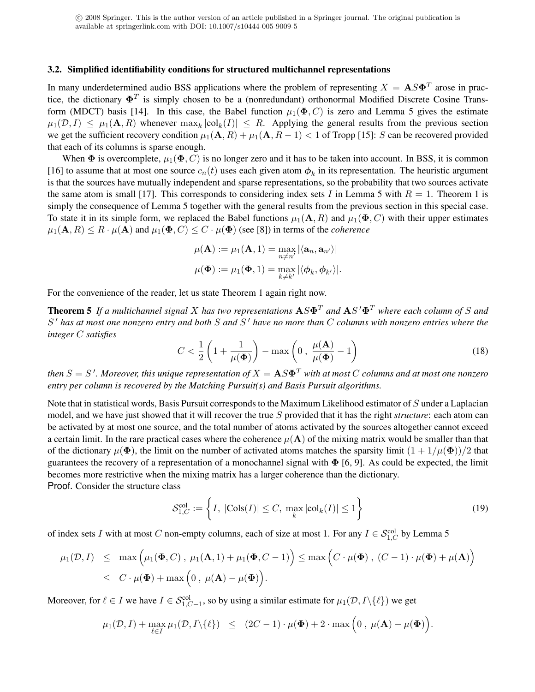#### 3.2. Simplified identifiability conditions for structured multichannel representations

In many underdetermined audio BSS applications where the problem of representing  $X = \mathbf{A} S \mathbf{\Phi}^T$  arose in practice, the dictionary  $\mathbf{\Phi}^T$  is simply chosen to be a (nonredundant) orthonormal Modified Discrete Cosine Transform (MDCT) basis [14]. In this case, the Babel function  $\mu_1(\Phi, C)$  is zero and Lemma 5 gives the estimate  $\mu_1(\mathcal{D}, I) \leq \mu_1(\mathbf{A}, R)$  whenever  $\max_k |\text{col}_k(I)| \leq R$ . Applying the general results from the previous section we get the sufficient recovery condition  $\mu_1(A, R) + \mu_1(A, R - 1) < 1$  of Tropp [15]: S can be recovered provided that each of its columns is sparse enough.

When  $\Phi$  is overcomplete,  $\mu_1(\Phi, C)$  is no longer zero and it has to be taken into account. In BSS, it is common [16] to assume that at most one source  $c_n(t)$  uses each given atom  $\phi_k$  in its representation. The heuristic argument is that the sources have mutually independent and sparse representations, so the probability that two sources activate the same atom is small [17]. This corresponds to considering index sets I in Lemma 5 with  $R = 1$ . Theorem 1 is simply the consequence of Lemma 5 together with the general results from the previous section in this special case. To state it in its simple form, we replaced the Babel functions  $\mu_1(A, R)$  and  $\mu_1(\Phi, C)$  with their upper estimates  $\mu_1(A, R) \leq R \cdot \mu(A)$  and  $\mu_1(\Phi, C) \leq C \cdot \mu(\Phi)$  (see [8]) in terms of the *coherence* 

$$
\mu(\mathbf{A}) := \mu_1(\mathbf{A}, 1) = \max_{n \neq n'} |\langle \mathbf{a}_n, \mathbf{a}_{n'} \rangle|
$$

$$
\mu(\mathbf{\Phi}) := \mu_1(\mathbf{\Phi}, 1) = \max_{k \neq k'} |\langle \phi_k, \phi_{k'} \rangle|.
$$

For the convenience of the reader, let us state Theorem 1 again right now.

**Theorem 5** If a multichannel signal X has two representations  $AS\Phi^T$  and  $AS'\Phi^T$  where each column of S and S <sup>0</sup> *has at most one nonzero entry and both* S *and* S <sup>0</sup> *have no more than* C *columns with nonzero entries where the integer* C *satisfies*

$$
C < \frac{1}{2} \left( 1 + \frac{1}{\mu(\Phi)} \right) - \max \left( 0 \,, \, \frac{\mu(\mathbf{A})}{\mu(\Phi)} - 1 \right) \tag{18}
$$

then  $S=S$   $\cdot$  . Moreover, this unique representation of  $X={\bf A}S{\bf\Phi}^T$  with at most  $C$  columns and at most one nonzero *entry per column is recovered by the Matching Pursuit(s) and Basis Pursuit algorithms.*

Note that in statistical words, Basis Pursuit corresponds to the Maximum Likelihood estimator of S under a Laplacian model, and we have just showed that it will recover the true S provided that it has the right *structure*: each atom can be activated by at most one source, and the total number of atoms activated by the sources altogether cannot exceed a certain limit. In the rare practical cases where the coherence  $\mu(A)$  of the mixing matrix would be smaller than that of the dictionary  $\mu(\Phi)$ , the limit on the number of activated atoms matches the sparsity limit  $(1 + 1/\mu(\Phi))/2$  that guarantees the recovery of a representation of a monochannel signal with  $\Phi$  [6, 9]. As could be expected, the limit becomes more restrictive when the mixing matrix has a larger coherence than the dictionary.

Proof. Consider the structure class

$$
\mathcal{S}_{1,C}^{\text{col}} := \left\{ I, \ |\text{Cols}(I)| \le C, \ \max_{k} |\text{col}_{k}(I)| \le 1 \right\} \tag{19}
$$

of index sets I with at most C non-empty columns, each of size at most 1. For any  $I \in \mathcal{S}_{1,C}^{\text{col}}$  by Lemma 5

$$
\mu_1(\mathcal{D}, I) \leq \max \Big( \mu_1(\mathbf{\Phi}, C) , \mu_1(\mathbf{A}, 1) + \mu_1(\mathbf{\Phi}, C - 1) \Big) \leq \max \Big( C \cdot \mu(\mathbf{\Phi}) , (C - 1) \cdot \mu(\mathbf{\Phi}) + \mu(\mathbf{A}) \Big)
$$
  

$$
\leq C \cdot \mu(\mathbf{\Phi}) + \max \Big( 0 , \mu(\mathbf{A}) - \mu(\mathbf{\Phi}) \Big).
$$

Moreover, for  $\ell \in I$  we have  $I \in \mathcal{S}_{1,C-1}^{\text{col}},$  so by using a similar estimate for  $\mu_1(\mathcal{D}, I \setminus \{\ell\})$  we get

$$
\mu_1(\mathcal{D}, I) + \max_{\ell \in I} \mu_1(\mathcal{D}, I \setminus \{\ell\}) \leq (2C - 1) \cdot \mu(\Phi) + 2 \cdot \max\left(0, \mu(\mathbf{A}) - \mu(\Phi)\right).
$$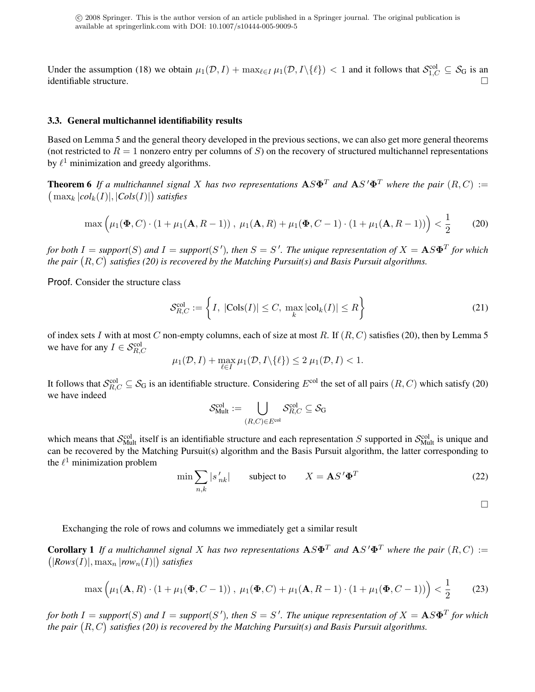Under the assumption (18) we obtain  $\mu_1(\mathcal{D}, I) + \max_{\ell \in I} \mu_1(\mathcal{D}, I \setminus \{\ell\}) < 1$  and it follows that  $\mathcal{S}_{1,C}^{\text{col}} \subseteq \mathcal{S}_G$  is an  $\Box$ identifiable structure.

#### 3.3. General multichannel identifiability results

Based on Lemma 5 and the general theory developed in the previous sections, we can also get more general theorems (not restricted to  $R = 1$  nonzero entry per columns of S) on the recovery of structured multichannel representations by  $\ell^1$  minimization and greedy algorithms.

**Theorem 6** If a multichannel signal X has two representations  $\mathbf{A} S \mathbf{\Phi}^T$  and  $\mathbf{A} S' \mathbf{\Phi}^T$  where the pair  $(R, C) :=$  $\left(\max_k |col_k(I)|, |Cols(I)|\right)$  satisfies

$$
\max\left(\mu_1(\mathbf{\Phi}, C) \cdot (1 + \mu_1(\mathbf{A}, R - 1)), \ \mu_1(\mathbf{A}, R) + \mu_1(\mathbf{\Phi}, C - 1) \cdot (1 + \mu_1(\mathbf{A}, R - 1))\right) < \frac{1}{2} \tag{20}
$$

*for both*  $I = support(S)$  and  $I = support(S')$ , then  $S = S'$ . The unique representation of  $X = \mathbf{A}S\mathbf{\Phi}^T$  for which the pair  $(R, C)$  satisfies (20) is recovered by the Matching Pursuit(s) and Basis Pursuit algorithms.

Proof. Consider the structure class

$$
\mathcal{S}_{R,C}^{\text{col}} := \left\{ I, \ |\text{Cols}(I)| \le C, \ \max_{k} |\text{col}_{k}(I)| \le R \right\} \tag{21}
$$

of index sets I with at most C non-empty columns, each of size at most R. If  $(R, C)$  satisfies (20), then by Lemma 5 we have for any  $I \in \mathcal{S}_{R,C}^{\text{col}}$ 

$$
\mu_1(\mathcal{D}, I) + \max_{\ell \in I} \mu_1(\mathcal{D}, I \setminus \{\ell\}) \le 2 \mu_1(\mathcal{D}, I) < 1.
$$

It follows that  $S_{R,C}^{\text{col}} \subseteq S_G$  is an identifiable structure. Considering  $E^{\text{col}}$  the set of all pairs  $(R, C)$  which satisfy (20) we have indeed

$$
\mathcal{S}^{\mathrm{col}}_{\mathrm{Mult}} := \bigcup_{(R,C)\in E^{\mathrm{col}}} \mathcal{S}^{\mathrm{col}}_{R,C} \subseteq \mathcal{S}_{\mathrm{G}}
$$

which means that  $S_{\text{Mult}}^{\text{col}}$  itself is an identifiable structure and each representation S supported in  $S_{\text{Mult}}^{\text{col}}$  is unique and can be recovered by the Matching Pursuit(s) algorithm and the Basis Pursuit algorithm, the latter corresponding to the  $\ell^1$  minimization problem

$$
\min \sum_{n,k} |s'_{nk}| \qquad \text{subject to} \qquad X = \mathbf{A} S' \mathbf{\Phi}^T \tag{22}
$$

 $\Box$ 

Exchanging the role of rows and columns we immediately get a similar result

**Corollary 1** If a multichannel signal X has two representations  $AS\Phi^T$  and  $AS'\Phi^T$  where the pair  $(R, C) :=$  $(|Rows(I)|, \max_n |row_n(I)|)$  satisfies

$$
\max\left(\mu_1(\mathbf{A}, R) \cdot (1 + \mu_1(\mathbf{\Phi}, C - 1)), \ \mu_1(\mathbf{\Phi}, C) + \mu_1(\mathbf{A}, R - 1) \cdot (1 + \mu_1(\mathbf{\Phi}, C - 1))\right) < \frac{1}{2} \tag{23}
$$

*for both*  $I = support(S)$  and  $I = support(S')$ , then  $S = S'$ . The unique representation of  $X = \mathbf{A}S\mathbf{\Phi}^T$  for which the pair  $(R, C)$  satisfies (20) is recovered by the Matching Pursuit(s) and Basis Pursuit algorithms.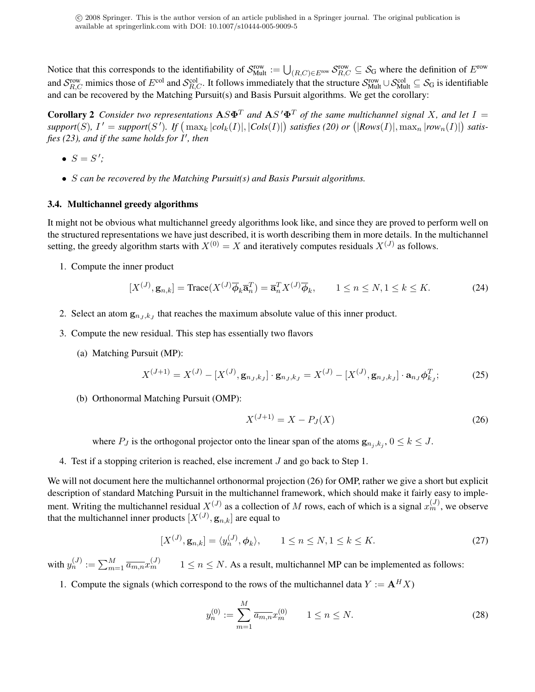Notice that this corresponds to the identifiability of  $S_{\text{Mult}}^{\text{row}} := \bigcup_{(R,C)\in E^{\text{row}}} S_{R,C}^{\text{row}} \subseteq S_G$  where the definition of  $E^{\text{row}}$ and  $S_{R,C}^{\text{row}}$  mimics those of  $E^{\text{col}}$  and  $S_{R,C}^{\text{col}}$ . It follows immediately that the structure  $S_{\text{Mult}}^{\text{row}} \cup S_{\text{Mult}}^{\text{col}} \subseteq S_G$  is identifiable and can be recovered by the Matching Pursuit(s) and Basis Pursuit algorithms. We get the corollary:

**Corollary 2** Consider two representations  $AS\Phi^T$  and  $AS'\Phi^T$  of the same multichannel signal X, and let I =  $support(S)$ ,  $I' = support(S')$ . If  $\left(\max_k |col_k(I)|, |Cols(I)|\right)$  satisfies (20) or  $\left(|Rows(I)|, \max_n |row_n(I)|\right)$  satisfies (23), and if the same holds for I', then

- $S = S'$ ;
- S *can be recovered by the Matching Pursuit(s) and Basis Pursuit algorithms.*

#### 3.4. Multichannel greedy algorithms

It might not be obvious what multichannel greedy algorithms look like, and since they are proved to perform well on the structured representations we have just described, it is worth describing them in more details. In the multichannel setting, the greedy algorithm starts with  $X^{(0)} = X$  and iteratively computes residuals  $X^{(J)}$  as follows.

1. Compute the inner product

$$
[X^{(J)}, \mathbf{g}_{n,k}] = \text{Trace}(X^{(J)}\overline{\phi}_k \overline{\mathbf{a}}_n^T) = \overline{\mathbf{a}}_n^T X^{(J)} \overline{\phi}_k, \qquad 1 \le n \le N, 1 \le k \le K. \tag{24}
$$

- 2. Select an atom  $g_{n_J,k_J}$  that reaches the maximum absolute value of this inner product.
- 3. Compute the new residual. This step has essentially two flavors
	- (a) Matching Pursuit (MP):

$$
X^{(J+1)} = X^{(J)} - [X^{(J)}, \mathbf{g}_{n_J, k_J}] \cdot \mathbf{g}_{n_J, k_J} = X^{(J)} - [X^{(J)}, \mathbf{g}_{n_J, k_J}] \cdot \mathbf{a}_{n_J} \phi_{k_J}^T; \tag{25}
$$

(b) Orthonormal Matching Pursuit (OMP):

$$
X^{(J+1)} = X - P_J(X)
$$
\n(26)

where  $P_J$  is the orthogonal projector onto the linear span of the atoms  $\mathbf{g}_{n_j,k_j}$ ,  $0 \le k \le J$ .

4. Test if a stopping criterion is reached, else increment J and go back to Step 1.

We will not document here the multichannel orthonormal projection (26) for OMP, rather we give a short but explicit description of standard Matching Pursuit in the multichannel framework, which should make it fairly easy to implement. Writing the multichannel residual  $X^{(J)}$  as a collection of M rows, each of which is a signal  $x_m^{(J)}$ , we observe that the multichannel inner products  $[X^{(J)}, \mathbf{g}_{n,k}]$  are equal to

$$
[X^{(J)}, \mathbf{g}_{n,k}] = \langle y_n^{(J)}, \boldsymbol{\phi}_k \rangle, \qquad 1 \le n \le N, 1 \le k \le K. \tag{27}
$$

with  $y_n^{(J)} := \sum_{m=1}^M \overline{a_{m,n}} x_m^{(J)}$   $1 \le n \le N$ . As a result, multichannel MP can be implemented as follows:

1. Compute the signals (which correspond to the rows of the multichannel data  $Y := \mathbf{A}^H X$ )

$$
y_n^{(0)} := \sum_{m=1}^M \overline{a_{m,n}} x_m^{(0)} \qquad 1 \le n \le N. \tag{28}
$$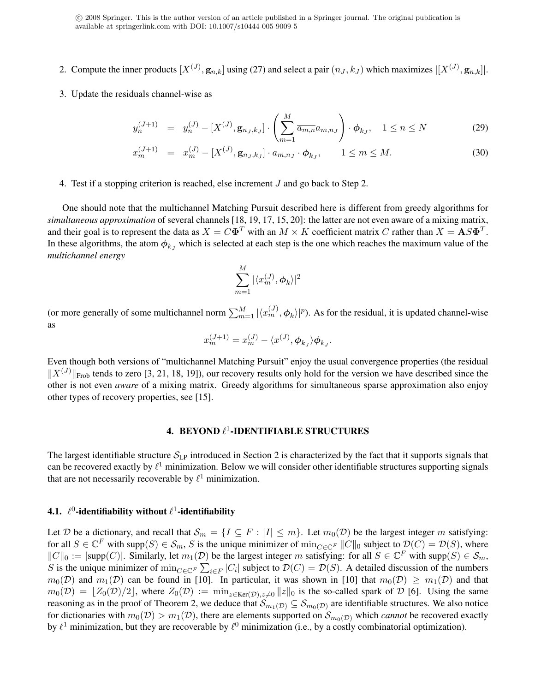- 2. Compute the inner products  $[X^{(J)}, \mathbf{g}_{n,k}]$  using (27) and select a pair  $(n_J, k_J)$  which maximizes  $|[X^{(J)}, \mathbf{g}_{n,k}]|$ .
- 3. Update the residuals channel-wise as

$$
y_n^{(J+1)} = y_n^{(J)} - [X^{(J)}, \mathbf{g}_{n_J, k_J}] \cdot \left( \sum_{m=1}^M \overline{a_{m,n}} a_{m,n_J} \right) \cdot \phi_{k_J}, \quad 1 \le n \le N \tag{29}
$$

$$
x_m^{(J+1)} = x_m^{(J)} - [X^{(J)}, \mathbf{g}_{n_J, k_J}] \cdot a_{m, n_J} \cdot \phi_{k_J}, \qquad 1 \le m \le M. \tag{30}
$$

4. Test if a stopping criterion is reached, else increment J and go back to Step 2.

One should note that the multichannel Matching Pursuit described here is different from greedy algorithms for *simultaneous approximation* of several channels [18, 19, 17, 15, 20]: the latter are not even aware of a mixing matrix, and their goal is to represent the data as  $X = C\Phi^T$  with an  $M \times K$  coefficient matrix C rather than  $X = AS\Phi^T$ . In these algorithms, the atom  $\phi_{k_J}$  which is selected at each step is the one which reaches the maximum value of the *multichannel energy*

$$
\sum_{m=1}^{M} |\langle x_m^{(J)}, \phi_k \rangle|^2
$$

(or more generally of some multichannel norm  $\sum_{m=1}^{M} |\langle x_m^{(J)}, \phi_k \rangle|^p$ ). As for the residual, it is updated channel-wise as

$$
x_m^{(J+1)} = x_m^{(J)} - \langle x^{(J)}, \phi_{k_J} \rangle \phi_{k_J}.
$$

Even though both versions of "multichannel Matching Pursuit" enjoy the usual convergence properties (the residual  $||X^{(J)}||_{\text{Frob}}$  tends to zero [3, 21, 18, 19]), our recovery results only hold for the version we have described since the other is not even *aware* of a mixing matrix. Greedy algorithms for simultaneous sparse approximation also enjoy other types of recovery properties, see [15].

### 4. BEYOND  $\ell^1$ -IDENTIFIABLE STRUCTURES

The largest identifiable structure  $S_{LP}$  introduced in Section 2 is characterized by the fact that it supports signals that can be recovered exactly by  $\ell^1$  minimization. Below we will consider other identifiable structures supporting signals that are not necessarily recoverable by  $\ell^1$  minimization.

### 4.1.  $\ell^0$ -identifiability without  $\ell^1$ -identifiability

Let D be a dictionary, and recall that  $\mathcal{S}_m = \{I \subseteq F : |I| \leq m\}$ . Let  $m_0(\mathcal{D})$  be the largest integer m satisfying: for all  $S \in \mathbb{C}^F$  with supp $(S) \in \mathcal{S}_m$ , S is the unique minimizer of  $\min_{C \in \mathbb{C}^F} ||C||_0$  subject to  $\mathcal{D}(C) = \mathcal{D}(S)$ , where  $||C||_0 := |\text{supp}(C)|$ . Similarly, let  $m_1(D)$  be the largest integer m satisfying: for all  $S \in \mathbb{C}^F$  with  $\text{supp}(S) \in \mathcal{S}_m$ , S is the unique minimizer of  $\min_{C \in \mathbb{C}^F} \sum_{i \in F} |C_i|$  subject to  $\mathcal{D}(C) = \mathcal{D}(S)$ . A detailed discussion of the numbers  $m_0(\mathcal{D})$  and  $m_1(\mathcal{D})$  can be found in [10]. In particular, it was shown in [10] that  $m_0(\mathcal{D}) \geq m_1(\mathcal{D})$  and that  $m_0(\mathcal{D}) = |Z_0(\mathcal{D})/2|$ , where  $Z_0(\mathcal{D}) := \min_{z \in \text{Ker}(\mathcal{D}), z \neq 0} ||z||_0$  is the so-called spark of  $\mathcal D$  [6]. Using the same reasoning as in the proof of Theorem 2, we deduce that  $\mathcal{S}_{m_1(\mathcal{D})} \subseteq \mathcal{S}_{m_0(\mathcal{D})}$  are identifiable structures. We also notice for dictionaries with  $m_0(\mathcal{D}) > m_1(\mathcal{D})$ , there are elements supported on  $\mathcal{S}_{m_0(\mathcal{D})}$  which *cannot* be recovered exactly by  $\ell^1$  minimization, but they are recoverable by  $\ell^0$  minimization (i.e., by a costly combinatorial optimization).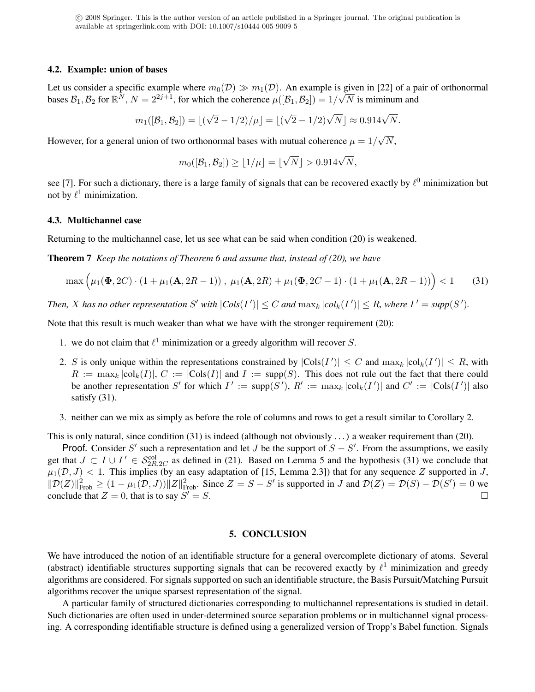#### 4.2. Example: union of bases

Let us consider a specific example where  $m_0(\mathcal{D}) \gg m_1(\mathcal{D})$ . An example is given in [22] of a pair of orthonormal bases  $B_1, B_2$  for  $\mathbb{R}^N$ ,  $N = 2^{2j+1}$ , for which the coherence  $\mu([\mathcal{B}_1, \mathcal{B}_2]) = 1/\sqrt{N}$  is miminum and

$$
m_1([B_1, B_2]) = \lfloor (\sqrt{2} - 1/2)/\mu \rfloor = \lfloor (\sqrt{2} - 1/2)\sqrt{N} \rfloor \approx 0.914\sqrt{N}.
$$

However, for a general union of two orthonormal bases with mutual coherence  $\mu = 1/2$ √  $N,$ 

$$
m_0([\mathcal{B}_1,\mathcal{B}_2]) \geq \lfloor 1/\mu \rfloor = \lfloor \sqrt{N} \rfloor > 0.914\sqrt{N},
$$

see [7]. For such a dictionary, there is a large family of signals that can be recovered exactly by  $\ell^0$  minimization but not by  $\ell^1$  minimization.

#### 4.3. Multichannel case

Returning to the multichannel case, let us see what can be said when condition (20) is weakened.

Theorem 7 *Keep the notations of Theorem 6 and assume that, instead of (20), we have*

$$
\max\Big(\mu_1(\Phi, 2C) \cdot (1 + \mu_1(\mathbf{A}, 2R - 1)), \ \mu_1(\mathbf{A}, 2R) + \mu_1(\Phi, 2C - 1) \cdot (1 + \mu_1(\mathbf{A}, 2R - 1))\Big) < 1 \tag{31}
$$

*Then, X* has no other representation S' with  $|Cols(I')| \leq C$  and  $\max_k |col_k(I')| \leq R$ , where  $I' = supp(S')$ .

Note that this result is much weaker than what we have with the stronger requirement (20):

- 1. we do not claim that  $\ell^1$  minimization or a greedy algorithm will recover S.
- 2. S is only unique within the representations constrained by  $|\text{Cols}(I')| \leq C$  and  $\max_k |\text{col}_k(I')| \leq R$ , with  $R := \max_k |\text{col}_k(I)|$ ,  $C := |\text{Cols}(I)|$  and  $I := \text{supp}(S)$ . This does not rule out the fact that there could be another representation S' for which  $I' := \text{supp}(S')$ ,  $R' := \max_k |\text{col}_k(I')|$  and  $C' := |\text{Cols}(I')|$  also satisfy  $(31)$ .
- 3. neither can we mix as simply as before the role of columns and rows to get a result similar to Corollary 2.

This is only natural, since condition  $(31)$  is indeed (although not obviously ...) a weaker requirement than  $(20)$ .

Proof. Consider S' such a representation and let J be the support of  $S - S'$ . From the assumptions, we easily get that  $J \subset I \cup I' \in S_{2R,2C}^{\text{col}}$  as defined in (21). Based on Lemma 5 and the hypothesis (31) we conclude that  $\mu_1(\mathcal{D}, J)$  < 1. This implies (by an easy adaptation of [15, Lemma 2.3]) that for any sequence Z supported in J,  $||\mathcal{D}(Z)||_{\text{Frob}}^2 \geq (1 - \mu_1(\mathcal{D}, J)) ||Z||_{\text{Frob}}^2$ . Since  $Z = S - S'$  is supported in J and  $\mathcal{D}(Z) = \mathcal{D}(S) - \mathcal{D}(S') = 0$  we conclude that  $Z = 0$ , that is to say  $S' = S$ .  $\overline{S} = S.$ 

#### 5. CONCLUSION

We have introduced the notion of an identifiable structure for a general overcomplete dictionary of atoms. Several (abstract) identifiable structures supporting signals that can be recovered exactly by  $\ell^1$  minimization and greedy algorithms are considered. For signals supported on such an identifiable structure, the Basis Pursuit/Matching Pursuit algorithms recover the unique sparsest representation of the signal.

A particular family of structured dictionaries corresponding to multichannel representations is studied in detail. Such dictionaries are often used in under-determined source separation problems or in multichannel signal processing. A corresponding identifiable structure is defined using a generalized version of Tropp's Babel function. Signals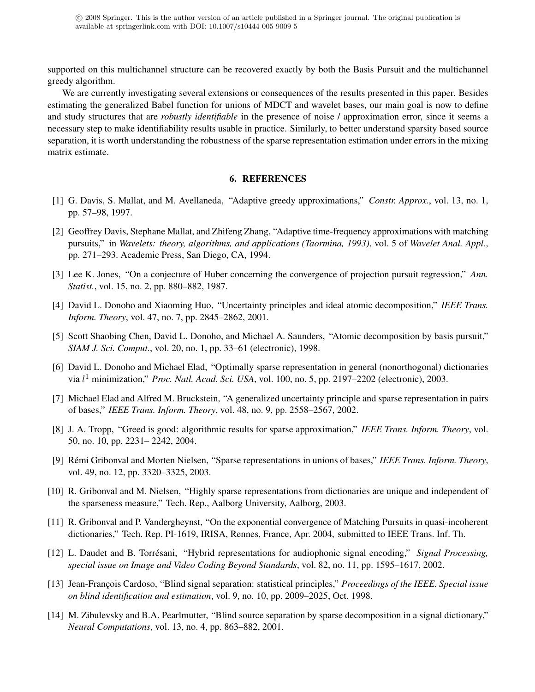supported on this multichannel structure can be recovered exactly by both the Basis Pursuit and the multichannel greedy algorithm.

We are currently investigating several extensions or consequences of the results presented in this paper. Besides estimating the generalized Babel function for unions of MDCT and wavelet bases, our main goal is now to define and study structures that are *robustly identifiable* in the presence of noise / approximation error, since it seems a necessary step to make identifiability results usable in practice. Similarly, to better understand sparsity based source separation, it is worth understanding the robustness of the sparse representation estimation under errors in the mixing matrix estimate.

#### 6. REFERENCES

- [1] G. Davis, S. Mallat, and M. Avellaneda, "Adaptive greedy approximations," *Constr. Approx.*, vol. 13, no. 1, pp. 57–98, 1997.
- [2] Geoffrey Davis, Stephane Mallat, and Zhifeng Zhang, "Adaptive time-frequency approximations with matching pursuits," in *Wavelets: theory, algorithms, and applications (Taormina, 1993)*, vol. 5 of *Wavelet Anal. Appl.*, pp. 271–293. Academic Press, San Diego, CA, 1994.
- [3] Lee K. Jones, "On a conjecture of Huber concerning the convergence of projection pursuit regression," *Ann. Statist.*, vol. 15, no. 2, pp. 880–882, 1987.
- [4] David L. Donoho and Xiaoming Huo, "Uncertainty principles and ideal atomic decomposition," *IEEE Trans. Inform. Theory*, vol. 47, no. 7, pp. 2845–2862, 2001.
- [5] Scott Shaobing Chen, David L. Donoho, and Michael A. Saunders, "Atomic decomposition by basis pursuit," *SIAM J. Sci. Comput.*, vol. 20, no. 1, pp. 33–61 (electronic), 1998.
- [6] David L. Donoho and Michael Elad, "Optimally sparse representation in general (nonorthogonal) dictionaries via l <sup>1</sup> minimization," *Proc. Natl. Acad. Sci. USA*, vol. 100, no. 5, pp. 2197–2202 (electronic), 2003.
- [7] Michael Elad and Alfred M. Bruckstein, "A generalized uncertainty principle and sparse representation in pairs of bases," *IEEE Trans. Inform. Theory*, vol. 48, no. 9, pp. 2558–2567, 2002.
- [8] J. A. Tropp, "Greed is good: algorithmic results for sparse approximation," *IEEE Trans. Inform. Theory*, vol. 50, no. 10, pp. 2231– 2242, 2004.
- [9] Rémi Gribonval and Morten Nielsen, "Sparse representations in unions of bases," *IEEE Trans. Inform. Theory*, vol. 49, no. 12, pp. 3320–3325, 2003.
- [10] R. Gribonval and M. Nielsen, "Highly sparse representations from dictionaries are unique and independent of the sparseness measure," Tech. Rep., Aalborg University, Aalborg, 2003.
- [11] R. Gribonval and P. Vandergheynst, "On the exponential convergence of Matching Pursuits in quasi-incoherent dictionaries," Tech. Rep. PI-1619, IRISA, Rennes, France, Apr. 2004, submitted to IEEE Trans. Inf. Th.
- [12] L. Daudet and B. Torresani, "Hybrid representations for audiophonic signal encoding," ´ *Signal Processing, special issue on Image and Video Coding Beyond Standards*, vol. 82, no. 11, pp. 1595–1617, 2002.
- [13] Jean-François Cardoso, "Blind signal separation: statistical principles," *Proceedings of the IEEE. Special issue on blind identification and estimation*, vol. 9, no. 10, pp. 2009–2025, Oct. 1998.
- [14] M. Zibulevsky and B.A. Pearlmutter, "Blind source separation by sparse decomposition in a signal dictionary," *Neural Computations*, vol. 13, no. 4, pp. 863–882, 2001.